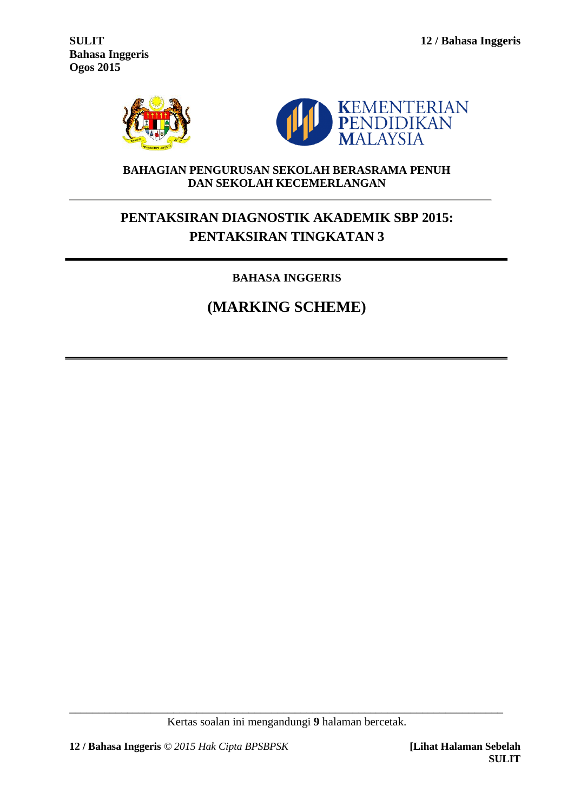**Bahasa Inggeris Ogos 2015**





## **BAHAGIAN PENGURUSAN SEKOLAH BERASRAMA PENUH DAN SEKOLAH KECEMERLANGAN**

# **PENTAKSIRAN DIAGNOSTIK AKADEMIK SBP 2015: PENTAKSIRAN TINGKATAN 3**

# **BAHASA INGGERIS**

# **(MARKING SCHEME)**

\_\_\_\_\_\_\_\_\_\_\_\_\_\_\_\_\_\_\_\_\_\_\_\_\_\_\_\_\_\_\_\_\_\_\_\_\_\_\_\_\_\_\_\_\_\_\_\_\_\_\_\_\_\_\_\_\_\_\_\_\_\_\_\_\_\_\_\_\_\_\_\_\_\_\_ Kertas soalan ini mengandungi **9** halaman bercetak.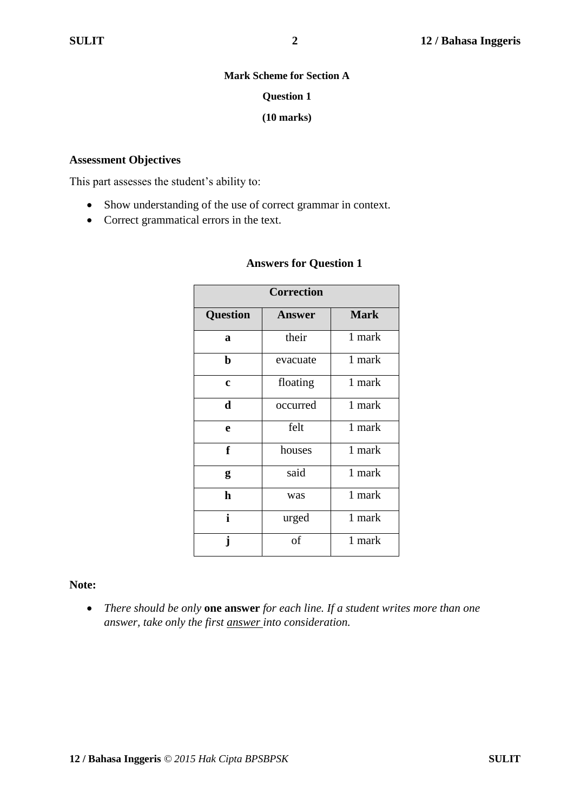#### **Mark Scheme for Section A**

#### **Question 1**

#### **(10 marks)**

#### **Assessment Objectives**

This part assesses the student's ability to:

- Show understanding of the use of correct grammar in context.
- Correct grammatical errors in the text.

| <b>Correction</b>                               |          |        |  |  |  |  |  |
|-------------------------------------------------|----------|--------|--|--|--|--|--|
| <b>Mark</b><br><b>Question</b><br><b>Answer</b> |          |        |  |  |  |  |  |
| a                                               | their    | 1 mark |  |  |  |  |  |
| $\mathbf b$                                     | evacuate | 1 mark |  |  |  |  |  |
| $\mathbf c$                                     | floating | 1 mark |  |  |  |  |  |
| $\mathbf d$                                     | occurred | 1 mark |  |  |  |  |  |
| e                                               | felt     | 1 mark |  |  |  |  |  |
| f                                               | houses   | 1 mark |  |  |  |  |  |
| g                                               | said     | 1 mark |  |  |  |  |  |
| $\mathbf h$                                     | was      | 1 mark |  |  |  |  |  |
| i                                               | urged    | 1 mark |  |  |  |  |  |
| j                                               | of       | 1 mark |  |  |  |  |  |

#### **Answers for Question 1**

#### **Note:**

 *There should be only* **one answer** *for each line. If a student writes more than one answer, take only the first answer into consideration.*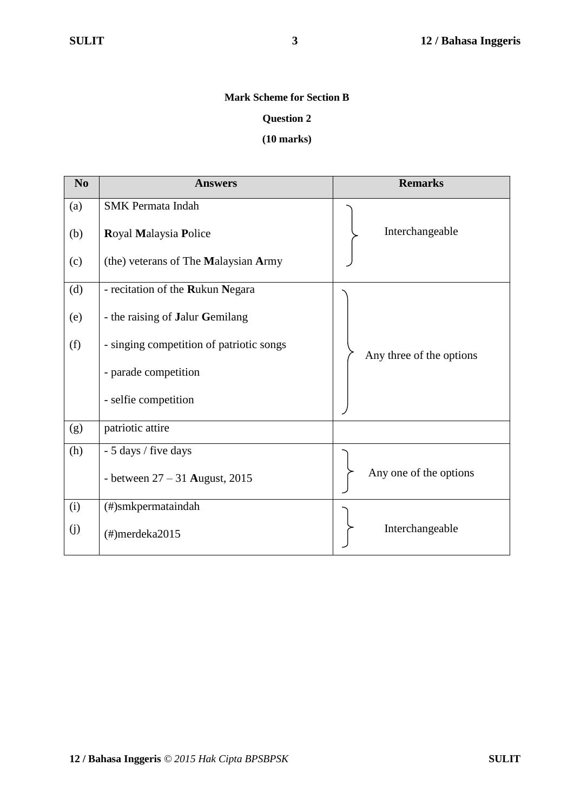# **Mark Scheme for Section B**

#### **Question 2**

#### **(10 marks)**

| N <sub>0</sub> | <b>Answers</b>                           | <b>Remarks</b>           |  |  |
|----------------|------------------------------------------|--------------------------|--|--|
| (a)            | <b>SMK</b> Permata Indah                 |                          |  |  |
| (b)            | Royal Malaysia Police                    | Interchangeable          |  |  |
| (c)            | (the) veterans of The Malaysian Army     |                          |  |  |
| (d)            | - recitation of the Rukun Negara         |                          |  |  |
| (e)            | - the raising of Jalur Gemilang          |                          |  |  |
| (f)            | - singing competition of patriotic songs | Any three of the options |  |  |
|                | - parade competition                     |                          |  |  |
|                | - selfie competition                     |                          |  |  |
| (g)            | patriotic attire                         |                          |  |  |
| (h)            | - 5 days / five days                     |                          |  |  |
|                | - between $27 - 31$ August, 2015         | Any one of the options   |  |  |
| (i)            | (#)smkpermataindah                       |                          |  |  |
| (j)            | $(\#)$ merdeka $2015$                    | Interchangeable          |  |  |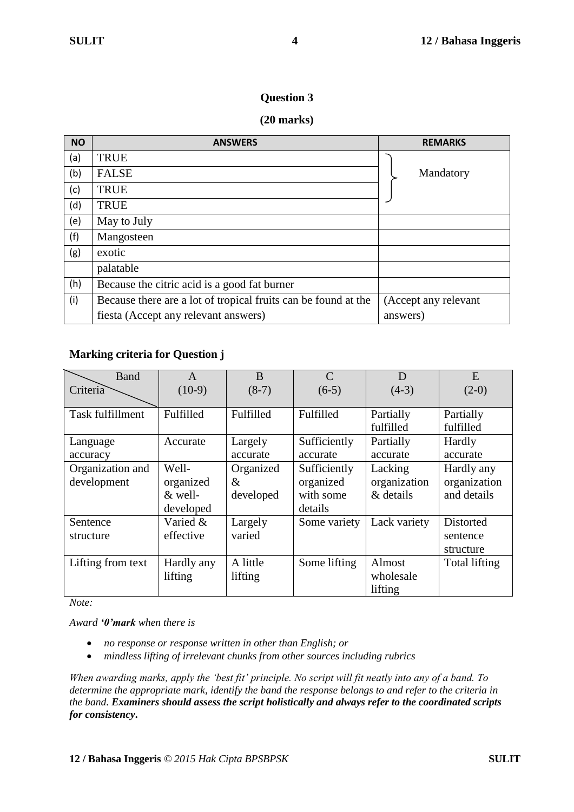#### **Question 3**

#### **(20 marks)**

| <b>NO</b> | <b>ANSWERS</b>                                                 | <b>REMARKS</b>       |
|-----------|----------------------------------------------------------------|----------------------|
| (a)       | <b>TRUE</b>                                                    |                      |
| (b)       | <b>FALSE</b>                                                   | Mandatory            |
| (c)       | <b>TRUE</b>                                                    |                      |
| (d)       | <b>TRUE</b>                                                    |                      |
| (e)       | May to July                                                    |                      |
| (f)       | Mangosteen                                                     |                      |
| (g)       | exotic                                                         |                      |
|           | palatable                                                      |                      |
| (h)       | Because the citric acid is a good fat burner                   |                      |
| (i)       | Because there are a lot of tropical fruits can be found at the | (Accept any relevant |
|           | fiesta (Accept any relevant answers)                           | answers)             |

## **Marking criteria for Question j**

| Band              | A          | B         | $\mathcal{C}$ | D            | E             |
|-------------------|------------|-----------|---------------|--------------|---------------|
| Criteria          | $(10-9)$   | $(8-7)$   | $(6-5)$       | $(4-3)$      | $(2-0)$       |
|                   |            |           |               |              |               |
| Task fulfillment  | Fulfilled  | Fulfilled | Fulfilled     | Partially    | Partially     |
|                   |            |           |               | fulfilled    | fulfilled     |
| Language          | Accurate   | Largely   | Sufficiently  | Partially    | Hardly        |
| accuracy          |            | accurate  | accurate      | accurate     | accurate      |
| Organization and  | Well-      | Organized | Sufficiently  | Lacking      | Hardly any    |
| development       | organized  | $\&$      | organized     | organization | organization  |
|                   | $&$ well-  | developed | with some     | & details    | and details   |
|                   | developed  |           | details       |              |               |
| Sentence          | Varied &   | Largely   | Some variety  | Lack variety | Distorted     |
| structure         | effective  | varied    |               |              | sentence      |
|                   |            |           |               |              | structure     |
| Lifting from text | Hardly any | A little  | Some lifting  | Almost       | Total lifting |
|                   | lifting    | lifting   |               | wholesale    |               |
|                   |            |           |               | lifting      |               |

*Note:*

*Award '0'mark when there is*

- *no response or response written in other than English; or*
- *mindless lifting of irrelevant chunks from other sources including rubrics*

*When awarding marks, apply the 'best fit' principle. No script will fit neatly into any of a band. To determine the appropriate mark, identify the band the response belongs to and refer to the criteria in the band. Examiners should assess the script holistically and always refer to the coordinated scripts for consistency***.**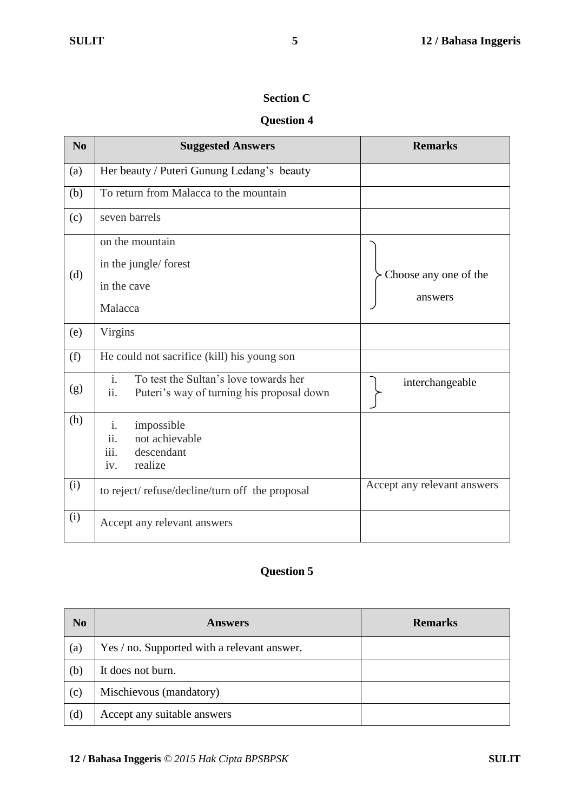# **Section C**

# **Question 4**

| N <sub>0</sub> | <b>Suggested Answers</b>                                                                                      | <b>Remarks</b>                   |
|----------------|---------------------------------------------------------------------------------------------------------------|----------------------------------|
| (a)            | Her beauty / Puteri Gunung Ledang's beauty                                                                    |                                  |
| (b)            | To return from Malacca to the mountain                                                                        |                                  |
| (c)            | seven barrels                                                                                                 |                                  |
| (d)            | on the mountain<br>in the jungle/forest<br>in the cave<br>Malacca                                             | Choose any one of the<br>answers |
| (e)            | Virgins                                                                                                       |                                  |
| (f)            | He could not sacrifice (kill) his young son                                                                   |                                  |
| (g)            | $\overline{i}$ .<br>To test the Sultan's love towards her<br>ii.<br>Puteri's way of turning his proposal down | interchangeable                  |
| (h)            | impossible<br>$\mathbf{i}$ .<br>not achievable<br>11.<br>iii.<br>descendant<br>realize<br>iv.                 |                                  |
| (i)            | to reject/refuse/decline/turn off the proposal                                                                | Accept any relevant answers      |
| (i)            | Accept any relevant answers                                                                                   |                                  |

# **Question 5**

| N <sub>0</sub> | <b>Answers</b>                              | <b>Remarks</b> |
|----------------|---------------------------------------------|----------------|
| (a)            | Yes / no. Supported with a relevant answer. |                |
| (b)            | It does not burn.                           |                |
| (c)            | Mischievous (mandatory)                     |                |
| (d)            | Accept any suitable answers                 |                |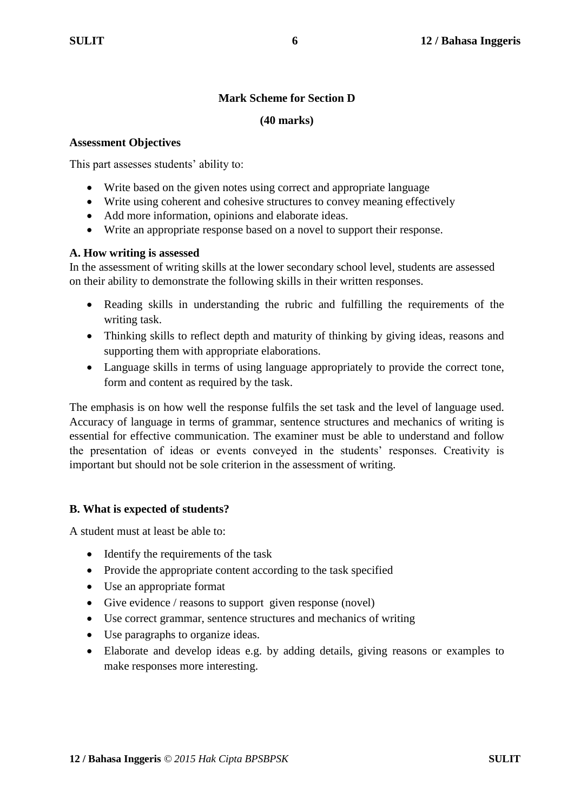# **Mark Scheme for Section D**

## **(40 marks)**

#### **Assessment Objectives**

This part assesses students' ability to:

- Write based on the given notes using correct and appropriate language
- Write using coherent and cohesive structures to convey meaning effectively
- Add more information, opinions and elaborate ideas.
- Write an appropriate response based on a novel to support their response.

## **A. How writing is assessed**

In the assessment of writing skills at the lower secondary school level, students are assessed on their ability to demonstrate the following skills in their written responses.

- Reading skills in understanding the rubric and fulfilling the requirements of the writing task.
- Thinking skills to reflect depth and maturity of thinking by giving ideas, reasons and supporting them with appropriate elaborations.
- Language skills in terms of using language appropriately to provide the correct tone, form and content as required by the task.

The emphasis is on how well the response fulfils the set task and the level of language used. Accuracy of language in terms of grammar, sentence structures and mechanics of writing is essential for effective communication. The examiner must be able to understand and follow the presentation of ideas or events conveyed in the students' responses. Creativity is important but should not be sole criterion in the assessment of writing.

# **B. What is expected of students?**

A student must at least be able to:

- Identify the requirements of the task
- Provide the appropriate content according to the task specified
- Use an appropriate format
- Give evidence / reasons to support given response (novel)
- Use correct grammar, sentence structures and mechanics of writing
- Use paragraphs to organize ideas.
- Elaborate and develop ideas e.g. by adding details, giving reasons or examples to make responses more interesting.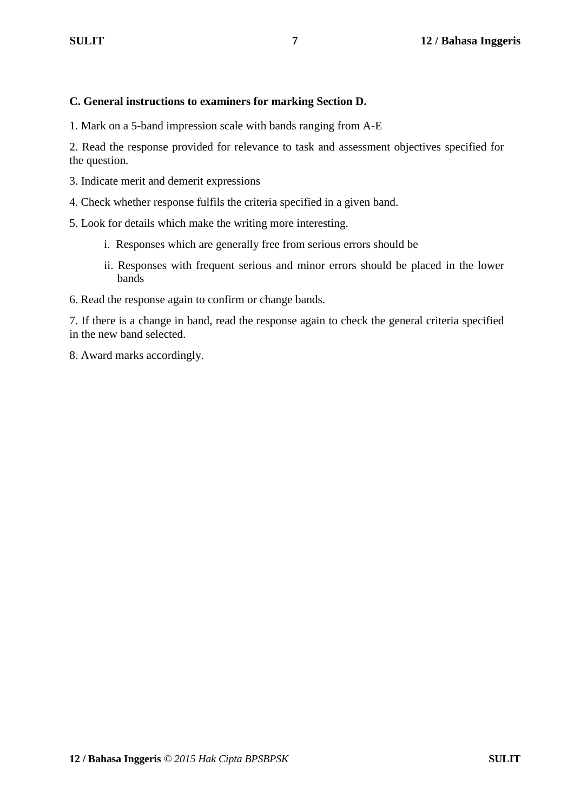## **C. General instructions to examiners for marking Section D.**

1. Mark on a 5-band impression scale with bands ranging from A-E

2. Read the response provided for relevance to task and assessment objectives specified for the question.

- 3. Indicate merit and demerit expressions
- 4. Check whether response fulfils the criteria specified in a given band.
- 5. Look for details which make the writing more interesting.
	- i. Responses which are generally free from serious errors should be
	- ii. Responses with frequent serious and minor errors should be placed in the lower bands
- 6. Read the response again to confirm or change bands.

7. If there is a change in band, read the response again to check the general criteria specified in the new band selected.

8. Award marks accordingly.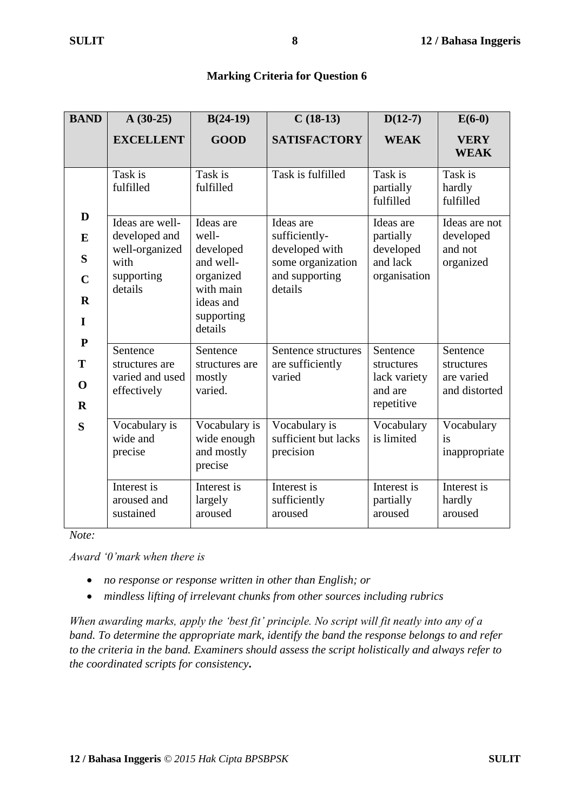## **Marking Criteria for Question 6**

| <b>BAND</b>                                                                                              | $A(30-25)$                                                                          | $B(24-19)$                                                                                                   | $C(18-13)$                                                                                     | $D(12-7)$                                                       | $E(6-0)$                                              |
|----------------------------------------------------------------------------------------------------------|-------------------------------------------------------------------------------------|--------------------------------------------------------------------------------------------------------------|------------------------------------------------------------------------------------------------|-----------------------------------------------------------------|-------------------------------------------------------|
|                                                                                                          | <b>EXCELLENT</b>                                                                    | <b>GOOD</b>                                                                                                  | <b>SATISFACTORY</b>                                                                            | <b>WEAK</b>                                                     | <b>VERY</b><br><b>WEAK</b>                            |
|                                                                                                          | Task is<br>fulfilled                                                                | Task is<br>fulfilled                                                                                         | Task is fulfilled                                                                              | Task is<br>partially<br>fulfilled                               | Task is<br>hardly<br>fulfilled                        |
| D<br>E<br>S<br>$\mathbf C$<br>$\mathbf R$<br>$\mathbf I$<br>${\bf P}$<br>T<br>$\mathbf 0$<br>$\mathbf R$ | Ideas are well-<br>developed and<br>well-organized<br>with<br>supporting<br>details | Ideas are<br>well-<br>developed<br>and well-<br>organized<br>with main<br>ideas and<br>supporting<br>details | Ideas are<br>sufficiently-<br>developed with<br>some organization<br>and supporting<br>details | Ideas are<br>partially<br>developed<br>and lack<br>organisation | Ideas are not<br>developed<br>and not<br>organized    |
|                                                                                                          | Sentence<br>structures are<br>varied and used<br>effectively                        | Sentence<br>structures are<br>mostly<br>varied.                                                              | Sentence structures<br>are sufficiently<br>varied                                              | Sentence<br>structures<br>lack variety<br>and are<br>repetitive | Sentence<br>structures<br>are varied<br>and distorted |
| S                                                                                                        | Vocabulary is<br>wide and<br>precise                                                | Vocabulary is<br>wide enough<br>and mostly<br>precise                                                        | Vocabulary is<br>sufficient but lacks<br>precision                                             | Vocabulary<br>is limited                                        | Vocabulary<br>is<br>inappropriate                     |
|                                                                                                          | Interest is<br>aroused and<br>sustained                                             | Interest is<br>largely<br>aroused                                                                            | Interest is<br>sufficiently<br>aroused                                                         | Interest is<br>partially<br>aroused                             | Interest is<br>hardly<br>aroused                      |

*Note:*

*Award '0'mark when there is*

- *no response or response written in other than English; or*
- *mindless lifting of irrelevant chunks from other sources including rubrics*

*When awarding marks, apply the 'best fit' principle. No script will fit neatly into any of a band. To determine the appropriate mark, identify the band the response belongs to and refer to the criteria in the band. Examiners should assess the script holistically and always refer to the coordinated scripts for consistency***.**